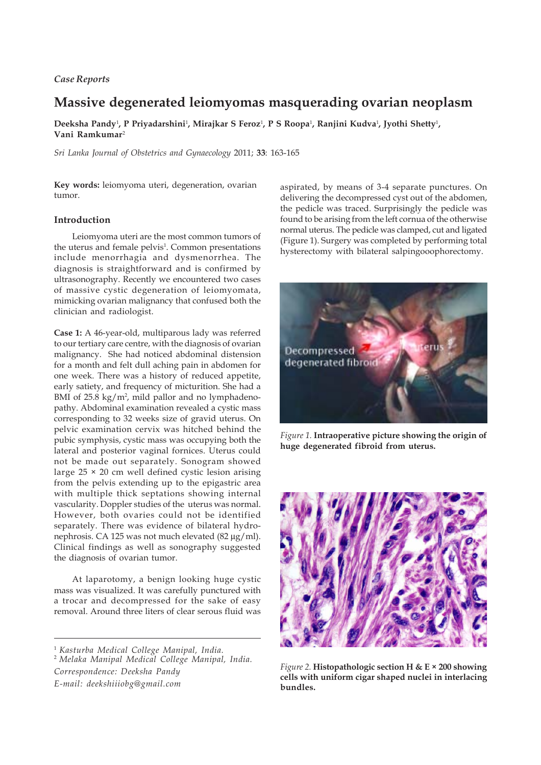## **Massive degenerated leiomyomas masquerading ovarian neoplasm**

Deeksha Pandy<sup>1</sup>, P Priyadarshini<sup>1</sup>, Mirajkar S Feroz<sup>1</sup>, P S Roopa<sup>1</sup>, Ranjini Kudva<sup>1</sup>, Jyothi Shetty<sup>1</sup>, **Vani Ramkumar**<sup>2</sup>

*Sri Lanka Journal of Obstetrics and Gynaecology* 2011; **33**: 163-165

**Key words:** leiomyoma uteri, degeneration, ovarian tumor.

## **Introduction**

Leiomyoma uteri are the most common tumors of the uterus and female pelvis<sup>1</sup>. Common presentations include menorrhagia and dysmenorrhea. The diagnosis is straightforward and is confirmed by ultrasonography. Recently we encountered two cases of massive cystic degeneration of leiomyomata, mimicking ovarian malignancy that confused both the clinician and radiologist.

**Case 1:** A 46-year-old, multiparous lady was referred to our tertiary care centre, with the diagnosis of ovarian malignancy. She had noticed abdominal distension for a month and felt dull aching pain in abdomen for one week. There was a history of reduced appetite, early satiety, and frequency of micturition. She had a BMI of  $25.8 \text{ kg/m}^2$ , mild pallor and no lymphadenopathy. Abdominal examination revealed a cystic mass corresponding to 32 weeks size of gravid uterus. On pelvic examination cervix was hitched behind the pubic symphysis, cystic mass was occupying both the lateral and posterior vaginal fornices. Uterus could not be made out separately. Sonogram showed large  $25 \times 20$  cm well defined cystic lesion arising from the pelvis extending up to the epigastric area with multiple thick septations showing internal vascularity. Doppler studies of the uterus was normal. However, both ovaries could not be identified separately. There was evidence of bilateral hydronephrosis. CA 125 was not much elevated (82 μg/ml). Clinical findings as well as sonography suggested the diagnosis of ovarian tumor.

At laparotomy, a benign looking huge cystic mass was visualized. It was carefully punctured with a trocar and decompressed for the sake of easy removal. Around three liters of clear serous fluid was

<sup>1</sup> *Kasturba Medical College Manipal, India.* <sup>2</sup> *Melaka Manipal Medical College Manipal, India. Correspondence: Deeksha Pandy E-mail: deekshiiiobg@gmail.com*

aspirated, by means of 3-4 separate punctures. On delivering the decompressed cyst out of the abdomen, the pedicle was traced. Surprisingly the pedicle was found to be arising from the left cornua of the otherwise normal uterus. The pedicle was clamped, cut and ligated (Figure 1). Surgery was completed by performing total hysterectomy with bilateral salpingooophorectomy.



*Figure 1.* **Intraoperative picture showing the origin of huge degenerated fibroid from uterus.**



*Figure 2.* **Histopathologic section H & E × 200 showing cells with uniform cigar shaped nuclei in interlacing bundles.**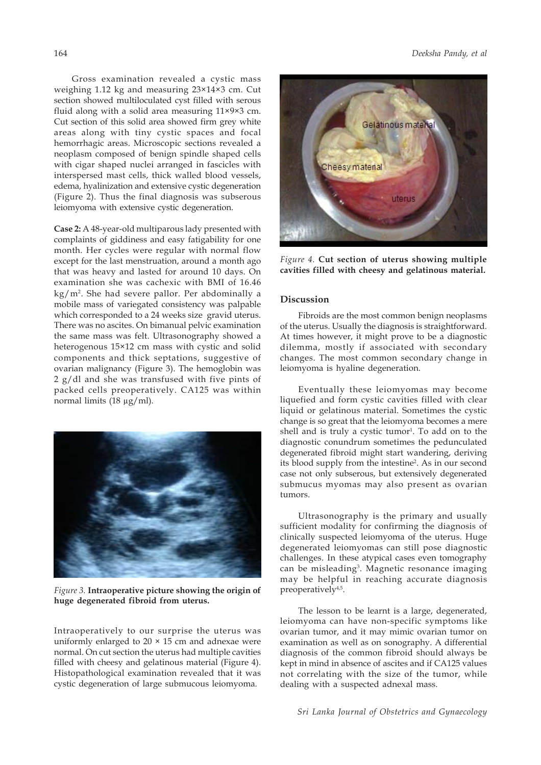Gross examination revealed a cystic mass weighing 1.12 kg and measuring 23×14×3 cm. Cut section showed multiloculated cyst filled with serous fluid along with a solid area measuring 11×9×3 cm. Cut section of this solid area showed firm grey white areas along with tiny cystic spaces and focal hemorrhagic areas. Microscopic sections revealed a neoplasm composed of benign spindle shaped cells with cigar shaped nuclei arranged in fascicles with interspersed mast cells, thick walled blood vessels, edema, hyalinization and extensive cystic degeneration (Figure 2). Thus the final diagnosis was subserous leiomyoma with extensive cystic degeneration.

**Case 2:** A 48-year-old multiparous lady presented with complaints of giddiness and easy fatigability for one month. Her cycles were regular with normal flow except for the last menstruation, around a month ago that was heavy and lasted for around 10 days. On examination she was cachexic with BMI of 16.46 kg/m2 . She had severe pallor. Per abdominally a mobile mass of variegated consistency was palpable which corresponded to a 24 weeks size gravid uterus. There was no ascites. On bimanual pelvic examination the same mass was felt. Ultrasonography showed a heterogenous 15×12 cm mass with cystic and solid components and thick septations, suggestive of ovarian malignancy (Figure 3). The hemoglobin was 2 g/dl and she was transfused with five pints of packed cells preoperatively. CA125 was within normal limits (18 μg/ml).



*Figure 3.* **Intraoperative picture showing the origin of huge degenerated fibroid from uterus.**

Intraoperatively to our surprise the uterus was uniformly enlarged to  $20 \times 15$  cm and adnexae were normal. On cut section the uterus had multiple cavities filled with cheesy and gelatinous material (Figure 4). Histopathological examination revealed that it was cystic degeneration of large submucous leiomyoma.



*Figure 4.* **Cut section of uterus showing multiple cavities filled with cheesy and gelatinous material.**

## **Discussion**

Fibroids are the most common benign neoplasms of the uterus. Usually the diagnosis is straightforward. At times however, it might prove to be a diagnostic dilemma, mostly if associated with secondary changes. The most common secondary change in leiomyoma is hyaline degeneration.

Eventually these leiomyomas may become liquefied and form cystic cavities filled with clear liquid or gelatinous material. Sometimes the cystic change is so great that the leiomyoma becomes a mere shell and is truly a cystic tumor<sup>1</sup>. To add on to the diagnostic conundrum sometimes the pedunculated degenerated fibroid might start wandering, deriving its blood supply from the intestine<sup>2</sup>. As in our second case not only subserous, but extensively degenerated submucus myomas may also present as ovarian tumors.

Ultrasonography is the primary and usually sufficient modality for confirming the diagnosis of clinically suspected leiomyoma of the uterus. Huge degenerated leiomyomas can still pose diagnostic challenges. In these atypical cases even tomography can be misleading3 . Magnetic resonance imaging may be helpful in reaching accurate diagnosis preoperatively<sup>4,5</sup>.

The lesson to be learnt is a large, degenerated, leiomyoma can have non-specific symptoms like ovarian tumor, and it may mimic ovarian tumor on examination as well as on sonography. A differential diagnosis of the common fibroid should always be kept in mind in absence of ascites and if CA125 values not correlating with the size of the tumor, while dealing with a suspected adnexal mass.